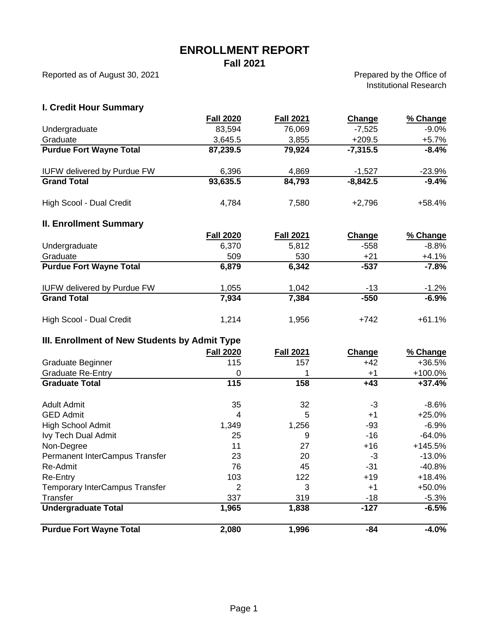## **ENROLLMENT REPORT**

**Fall 2021**

Reported as of August 30, 2021

Prepared by the Office of Institutional Research

## **I. Credit Hour Summary**

| <b>Purdue Fort Wayne Total</b>                | 2,080                 | 1,996            | $-84$           | $-4.0%$            |
|-----------------------------------------------|-----------------------|------------------|-----------------|--------------------|
|                                               |                       |                  |                 |                    |
| <b>Undergraduate Total</b>                    | 1,965                 | 1,838            | $-18$<br>$-127$ | $-5.3%$<br>$-6.5%$ |
| Temporary InterCampus Transfer<br>Transfer    | 337                   | 319              | $+1$            | +50.0%             |
| Re-Entry                                      | 103<br>$\overline{2}$ | 122<br>3         | $+19$           | $+18.4%$           |
| Re-Admit                                      | 76                    | 45               | $-31$           | $-40.8%$           |
| Permanent InterCampus Transfer                | 23                    | 20               | $-3$            | $-13.0%$           |
| Non-Degree                                    | 11                    | 27               | $+16$           | +145.5%            |
| Ivy Tech Dual Admit                           | 25                    | 9                | $-16$           | $-64.0%$           |
| <b>High School Admit</b>                      | 1,349                 | 1,256            | $-93$           | $-6.9%$            |
| <b>GED Admit</b>                              | 4                     | 5                | $+1$            | $+25.0%$           |
| <b>Adult Admit</b>                            | 35                    | 32               | $-3$            | $-8.6%$            |
| <b>Graduate Total</b>                         | 115                   | 158              | $+43$           | $+37.4%$           |
| <b>Graduate Re-Entry</b>                      | $\mathbf 0$           | 1                | $+1$            | +100.0%            |
| Graduate Beginner                             | 115                   | 157              | $+42$           | +36.5%             |
|                                               | <b>Fall 2020</b>      | <b>Fall 2021</b> | Change          | % Change           |
| III. Enrollment of New Students by Admit Type |                       |                  |                 |                    |
| High Scool - Dual Credit                      | 1,214                 | 1,956            | $+742$          | $+61.1%$           |
| <b>Grand Total</b>                            | 7,934                 | 7,384            | $-550$          | $-6.9%$            |
| <b>IUFW delivered by Purdue FW</b>            | 1,055                 | 1,042            | $-13$           | $-1.2%$            |
| <b>Purdue Fort Wayne Total</b>                | 6,879                 | 6,342            | $-537$          | $-7.8%$            |
| Graduate                                      | 509                   | 530              | $+21$           | $+4.1%$            |
| Undergraduate                                 | 6,370                 | 5,812            | $-558$          | $-8.8%$            |
|                                               | <b>Fall 2020</b>      | <b>Fall 2021</b> | <b>Change</b>   | % Change           |
| <b>II. Enrollment Summary</b>                 |                       |                  |                 |                    |
| High Scool - Dual Credit                      | 4,784                 | 7,580            | $+2,796$        | $+58.4%$           |
| <b>Grand Total</b>                            | 93,635.5              | 84,793           | $-8,842.5$      | $-9.4%$            |
| <b>IUFW delivered by Purdue FW</b>            | 6,396                 | 4,869            | $-1,527$        | $-23.9%$           |
|                                               |                       |                  |                 |                    |
| <b>Purdue Fort Wayne Total</b>                | 87,239.5              | 79,924           | $-7,315.5$      | $-8.4%$            |
| Graduate                                      | 3,645.5               | 3,855            | $+209.5$        | $+5.7%$            |
| Undergraduate                                 | 83,594                | 76,069           | $-7,525$        | $-9.0\%$           |
|                                               | <b>Fall 2020</b>      | <b>Fall 2021</b> | Change          | % Change           |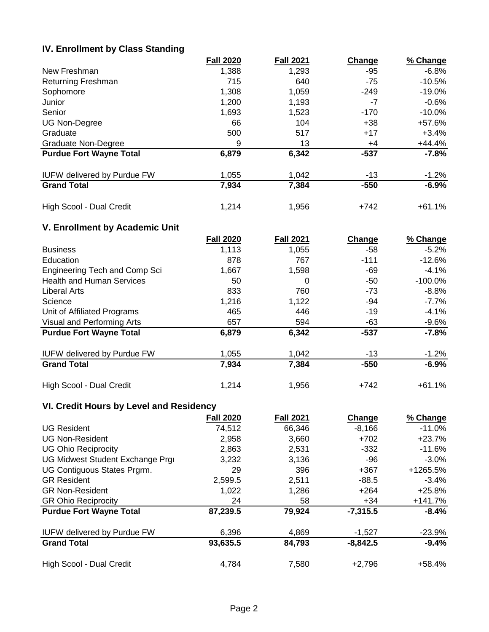## **IV. Enrollment by Class Standing**

|                                    | <b>Fall 2020</b> | <b>Fall 2021</b> | Change | % Change  |
|------------------------------------|------------------|------------------|--------|-----------|
| New Freshman                       | 1,388            | 1,293            | -95    | $-6.8\%$  |
| <b>Returning Freshman</b>          | 715              | 640              | $-75$  | $-10.5%$  |
| Sophomore                          | 1,308            | 1,059            | $-249$ | $-19.0\%$ |
| Junior                             | 1,200            | 1,193            | -7     | $-0.6\%$  |
| Senior                             | 1,693            | 1,523            | $-170$ | $-10.0\%$ |
| <b>UG Non-Degree</b>               | 66               | 104              | $+38$  | +57.6%    |
| Graduate                           | 500              | 517              | $+17$  | $+3.4%$   |
| Graduate Non-Degree                | 9                | 13               | +4     | $+44.4%$  |
| <b>Purdue Fort Wayne Total</b>     | 6,879            | 6,342            | -537   | $-7.8%$   |
| <b>IUFW delivered by Purdue FW</b> | 1,055            | 1,042            | -13    | $-1.2%$   |
| <b>Grand Total</b>                 | 7,934            | 7,384            | $-550$ | $-6.9%$   |
| High Scool - Dual Credit           | 1,214            | 1,956            | $+742$ | $+61.1%$  |

## **V. Enrollment by Academic Unit**

|                                    | <b>Fall 2020</b> | <b>Fall 2021</b> | Change | % Change |
|------------------------------------|------------------|------------------|--------|----------|
| <b>Business</b>                    | 1,113            | 1,055            | -58    | $-5.2\%$ |
| Education                          | 878              | 767              | $-111$ | $-12.6%$ |
| Engineering Tech and Comp Sci      | 1,667            | 1,598            | -69    | $-4.1%$  |
| <b>Health and Human Services</b>   | 50               | 0                | -50    | -100.0%  |
| Liberal Arts                       | 833              | 760              | $-73$  | $-8.8\%$ |
| Science                            | 1,216            | 1,122            | -94    | $-7.7\%$ |
| Unit of Affiliated Programs        | 465              | 446              | $-19$  | $-4.1%$  |
| Visual and Performing Arts         | 657              | 594              | -63    | $-9.6%$  |
| <b>Purdue Fort Wayne Total</b>     | 6,879            | 6,342            | -537   | $-7.8%$  |
| <b>IUFW delivered by Purdue FW</b> | 1,055            | 1,042            | -13    | $-1.2%$  |
| <b>Grand Total</b>                 | 7,934            | 7,384            | $-550$ | $-6.9%$  |
| High Scool - Dual Credit           | 1,214            | 1,956            | $+742$ | $+61.1%$ |

## **VI. Credit Hours by Level and Residency**

|                                    | <b>Fall 2020</b> | <b>Fall 2021</b> | Change     | % Change  |
|------------------------------------|------------------|------------------|------------|-----------|
| <b>UG Resident</b>                 | 74,512           | 66,346           | $-8,166$   | $-11.0\%$ |
| <b>UG Non-Resident</b>             | 2,958            | 3,660            | $+702$     | $+23.7%$  |
| <b>UG Ohio Reciprocity</b>         | 2,863            | 2,531            | $-332$     | $-11.6%$  |
| UG Midwest Student Exchange Prgi   | 3,232            | 3.136            | -96        | $-3.0\%$  |
| UG Contiguous States Prgrm.        | 29               | 396              | $+367$     | +1265.5%  |
| <b>GR Resident</b>                 | 2,599.5          | 2,511            | $-88.5$    | $-3.4%$   |
| <b>GR Non-Resident</b>             | 1,022            | 1,286            | $+264$     | $+25.8%$  |
| <b>GR Ohio Reciprocity</b>         | 24               | 58               | $+34$      | $+141.7%$ |
| <b>Purdue Fort Wayne Total</b>     | 87,239.5         | 79,924           | $-7,315.5$ | $-8.4%$   |
| <b>IUFW delivered by Purdue FW</b> | 6,396            | 4,869            | $-1,527$   | $-23.9%$  |
| <b>Grand Total</b>                 | 93,635.5         | 84,793           | $-8,842.5$ | $-9.4%$   |
| High Scool - Dual Credit           | 4,784            | 7,580            | $+2,796$   | +58.4%    |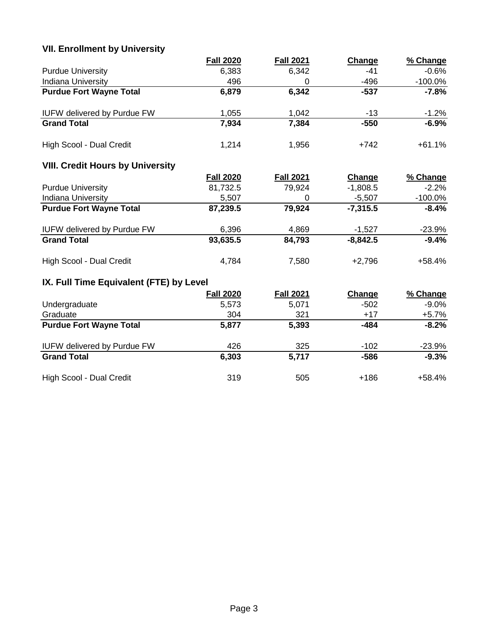# **VII. Enrollment by University**

|                                         | <b>Fall 2020</b> | <b>Fall 2021</b> | Change     | % Change   |
|-----------------------------------------|------------------|------------------|------------|------------|
| <b>Purdue University</b>                | 6,383            | 6,342            | $-41$      | $-0.6%$    |
| Indiana University                      | 496              | $\mathbf 0$      | $-496$     | $-100.0\%$ |
| <b>Purdue Fort Wayne Total</b>          | 6,879            | 6,342            | $-537$     | $-7.8%$    |
| <b>IUFW delivered by Purdue FW</b>      | 1,055            | 1,042            | $-13$      | $-1.2%$    |
| <b>Grand Total</b>                      | 7,934            | 7,384            | $-550$     | $-6.9%$    |
| High Scool - Dual Credit                | 1,214            | 1,956            | $+742$     | $+61.1%$   |
| <b>VIII. Credit Hours by University</b> |                  |                  |            |            |
|                                         | <b>Fall 2020</b> | <b>Fall 2021</b> | Change     | % Change   |
| <b>Purdue University</b>                | 81,732.5         | 79,924           | $-1,808.5$ | $-2.2%$    |
| Indiana University                      | 5,507            | $\mathbf 0$      | $-5,507$   | $-100.0\%$ |
| <b>Purdue Fort Wayne Total</b>          | 87,239.5         | 79,924           | $-7,315.5$ | $-8.4%$    |
| <b>IUFW delivered by Purdue FW</b>      | 6,396            | 4,869            | $-1,527$   | $-23.9%$   |
| <b>Grand Total</b>                      | 93,635.5         | 84,793           | $-8,842.5$ | $-9.4%$    |
| High Scool - Dual Credit                | 4,784            | 7,580            | $+2,796$   | $+58.4%$   |
| IX. Full Time Equivalent (FTE) by Level |                  |                  |            |            |
|                                         | <b>Fall 2020</b> | <b>Fall 2021</b> | Change     | % Change   |
| Undergraduate                           | 5,573            | 5,071            | $-502$     | $-9.0\%$   |
| Graduate                                | 304              | 321              | $+17$      | $+5.7\%$   |
| <b>Purdue Fort Wayne Total</b>          | 5,877            | 5,393            | $-484$     | $-8.2%$    |
| <b>IUFW delivered by Purdue FW</b>      | 426              | 325              | $-102$     | $-23.9%$   |
| <b>Grand Total</b>                      | 6,303            | 5,717            | $-586$     | $-9.3%$    |
| High Scool - Dual Credit                | 319              | 505              | $+186$     | +58.4%     |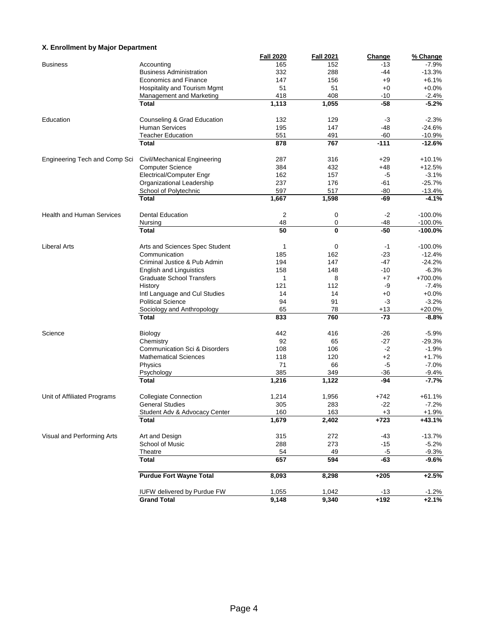#### **X. Enrollment by Major Department**

|                                  |                                  | <b>Fall 2020</b> | <b>Fall 2021</b> | Change | % Change             |
|----------------------------------|----------------------------------|------------------|------------------|--------|----------------------|
| <b>Business</b>                  | Accounting                       | 165              | 152              | $-13$  | $-7.9%$              |
|                                  | <b>Business Administration</b>   | 332              | 288              | -44    | $-13.3%$             |
|                                  | <b>Economics and Finance</b>     | 147              | 156              | $+9$   | $+6.1%$              |
|                                  | Hospitality and Tourism Mgmt     | 51               | 51               | $+0$   | $+0.0%$              |
|                                  | Management and Marketing         | 418              | 408              | $-10$  | $-2.4%$              |
|                                  | <b>Total</b>                     | 1,113            | 1,055            | $-58$  | $-5.2%$              |
|                                  |                                  |                  |                  |        |                      |
| Education                        | Counseling & Grad Education      | 132              | 129              | $-3$   | $-2.3%$              |
|                                  | <b>Human Services</b>            | 195              | 147              | $-48$  | $-24.6%$             |
|                                  | <b>Teacher Education</b>         | 551              | 491              | $-60$  |                      |
|                                  | Total                            | 878              | 767              | $-111$ | $-10.9%$<br>$-12.6%$ |
|                                  |                                  |                  |                  |        |                      |
|                                  |                                  |                  |                  |        | $+10.1%$             |
| Engineering Tech and Comp Sci    | Civil/Mechanical Engineering     | 287              | 316              | $+29$  |                      |
|                                  | <b>Computer Science</b>          | 384              | 432              | $+48$  | $+12.5%$             |
|                                  | <b>Electrical/Computer Engr</b>  | 162              | 157              | -5     | $-3.1%$              |
|                                  | Organizational Leadership        | 237              | 176              | -61    | $-25.7%$             |
|                                  | School of Polytechnic            | 597              | 517              | -80    | -13.4%               |
|                                  | <b>Total</b>                     | 1,667            | 1,598            | -69    | $-4.1%$              |
|                                  |                                  |                  |                  |        |                      |
| <b>Health and Human Services</b> | <b>Dental Education</b>          | 2                | 0                | $-2$   | $-100.0%$            |
|                                  | Nursing                          | 48               | 0                | -48    | $-100.0%$            |
|                                  | <b>Total</b>                     | 50               | 0                | $-50$  | $-100.0%$            |
|                                  |                                  |                  |                  |        |                      |
| <b>Liberal Arts</b>              | Arts and Sciences Spec Student   | 1                | 0                | $-1$   | $-100.0%$            |
|                                  | Communication                    | 185              | 162              | $-23$  | $-12.4%$             |
|                                  | Criminal Justice & Pub Admin     | 194              | 147              | -47    | $-24.2%$             |
|                                  | <b>English and Linguistics</b>   | 158              | 148              | $-10$  | $-6.3%$              |
|                                  |                                  | 1                |                  |        |                      |
|                                  | <b>Graduate School Transfers</b> |                  | 8                | $+7$   | +700.0%              |
|                                  | History                          | 121              | 112              | -9     | $-7.4%$              |
|                                  | Intl Language and Cul Studies    | 14               | 14               | $+0$   | $+0.0%$              |
|                                  | <b>Political Science</b>         | 94               | 91               | -3     | $-3.2%$              |
|                                  | Sociology and Anthropology       | 65               | 78               | $+13$  | $+20.0%$             |
|                                  | Total                            | 833              | 760              | $-73$  | $-8.8%$              |
|                                  |                                  |                  |                  |        |                      |
| Science                          | <b>Biology</b>                   | 442              | 416              | $-26$  | $-5.9%$              |
|                                  | Chemistry                        | 92               | 65               | $-27$  | $-29.3%$             |
|                                  | Communication Sci & Disorders    | 108              | 106              | $-2$   | $-1.9%$              |
|                                  | <b>Mathematical Sciences</b>     | 118              | 120              | $+2$   | $+1.7%$              |
|                                  | Physics                          | 71               | 66               | -5     | $-7.0%$              |
|                                  | Psychology                       | 385              | 349              | $-36$  | $-9.4%$              |
|                                  | <b>Total</b>                     | 1,216            | 1,122            | -94    | $-7.7%$              |
|                                  |                                  |                  |                  |        |                      |
| Unit of Affiliated Programs      | <b>Collegiate Connection</b>     | 1,214            | 1,956            | $+742$ | $+61.1%$             |
|                                  | <b>General Studies</b>           | 305              | 283              | $-22$  | $-7.2%$              |
|                                  | Student Adv & Advocacy Center    | 160              | 163              | $+3$   | $+1.9%$              |
|                                  | <b>Total</b>                     | 1,679            | 2,402            | $+723$ | $+43.1%$             |
|                                  |                                  |                  |                  |        |                      |
| Visual and Performing Arts       | Art and Design                   | 315              | 272              | $-43$  | $-13.7%$             |
|                                  |                                  |                  |                  |        |                      |
|                                  | School of Music                  | 288              | 273              | $-15$  | $-5.2%$              |
|                                  | Theatre                          | 54               | 49               | $-5$   | $-9.3%$              |
|                                  | <b>Total</b>                     | 657              | 594              | $-63$  | $-9.6%$              |
|                                  | <b>Purdue Fort Wayne Total</b>   | 8,093            | 8,298            | $+205$ | $+2.5%$              |
|                                  |                                  |                  |                  |        |                      |
|                                  | IUFW delivered by Purdue FW      | 1,055            | 1,042            | $-13$  |                      |
|                                  | <b>Grand Total</b>               | 9,148            | 9,340            | $+192$ | $-1.2\%$<br>+2.1%    |
|                                  |                                  |                  |                  |        |                      |